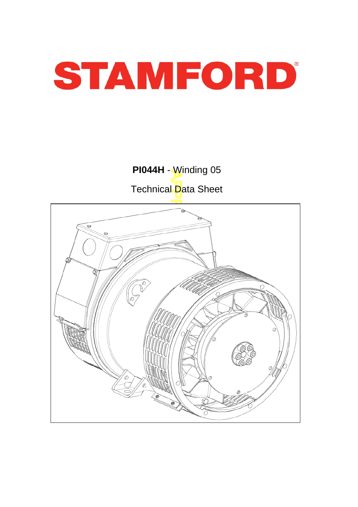

Technical Data Sheet

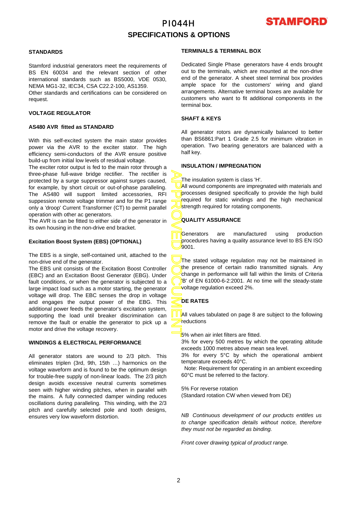### PI044H **SPECIFICATIONS & OPTIONS**



### **STANDARDS**

Stamford industrial generators meet the requirements o f BS EN 60034 and the relevant section of other international standards such as BS5000, VDE 0530, NEMA MG1-32, IEC34, CSA C22.2-100, AS1359.

Other standards and certifications can be considered on request.

#### **VOLTAGE REGULATOR**

#### **AS480 AVR fitted as STANDARD**

With this self-excited system the main stator provides power via the AVR to the exciter stator. The high efficiency semi-conductors of the AVR ensure positive build-up from initial low levels of residual voltage.

The exciter rotor output is fed to the main rotor through a three-phase full-wave bridge rectifier. The rectifier is protected by a surge suppressor against surges caused, for example, by short circuit or out-of-phase paralleling. The AS480 will support limited accessories, RFI suppession remote voltage trimmer and for the P1 range only a 'droop' Current Transformer (CT) to permit parallel operation with other ac generators.

The AVR is can be fitted to either side of the generator in its own housing in the non-drive end bracket.

#### **Excitation Boost System (EBS) (OPTIONAL)**

The EBS is a single, self-contained unit, attached to the non-drive end of the generator.

The EBS unit consists of the Excitation Boost Controller (EBC) and an Excitation Boost Generator (EBG). Unde r fault conditions, or when the generator is subjected to a large impact load such as a motor starting, the generator voltage will drop. The EBC senses the drop in voltage and engages the output power of the EBG. This additional power feeds the generator's excitation system, supporting the load until breaker discrimination can remove the fault or enable the generator to pick up a motor and drive the voltage recovery.

#### **WINDINGS & ELECTRICAL PERFORMANCE**

All generator stators are wound to 2/3 pitch. This eliminates triplen (3rd, 9th, 15th …) harmonics on the voltage waveform and is found to be the optimum design for trouble-free supply of non-linear loads. The 2/3 pitch design avoids excessive neutral currents sometimes seen with higher winding pitches, when in parallel with the mains. A fully connected damper winding reduces oscillations during paralleling. This winding, with the 2/3 pitch and carefully selected pole and tooth designs, ensures very low waveform distortion.

#### **TERMINALS & TERMINAL BOX**

Dedicated Single Phase generators have 4 ends brought out to the terminals, which are mounted at the non-drive end of the generator. A sheet steel terminal box provides ample space for the customers' wiring and gland arrangements. Alternative terminal boxes are available fo r customers who want to fit additional components in the terminal box.

### **SHAFT & KEYS**

All generator rotors are dynamically balanced to better than BS6861:Part 1 Grade 2.5 for minimum vibration in operation. Two bearing generators are balanced with a half key.

#### **INSULATION / IMPREGNATION**

The insulation system is class 'H'.

All wound components are impregnated with materials and processes designed specifically to provide the high build required for static windings and the high mechanical strength required for rotating components.

### **QUALITY ASSURANCE**

Generators are manufactured using production procedures having a quality assurance level to BS EN ISO 9001.

APPROVED DOCUMENT The stated voltage regulation may not be maintained in the presence of certain radio transmitted signals. Any change in performance will fall within the limits of Criteria B' of EN 61000-6-2:2001. At no time will the steady-state voltage regulation exceed 2%.

### **DE RATES**

All values tabulated on page 8 are subiect to the following reductions

**5%** when air inlet filters are fitted.

3% for every 500 metres by which the operating altitude exceeds 1000 metres above mean sea level.

3% for every 5°C by which the operational ambient temperature exceeds 40°C.

 Note: Requirement for operating in an ambient exceeding 60°C must be referred to the factory.

5% For reverse rotation

(Standard rotation CW when viewed from DE)

*NB Continuous development of our products entitles us to change specification details without notice, therefore they must not be regarded as binding.* 

*Front cover drawing typical of product range.*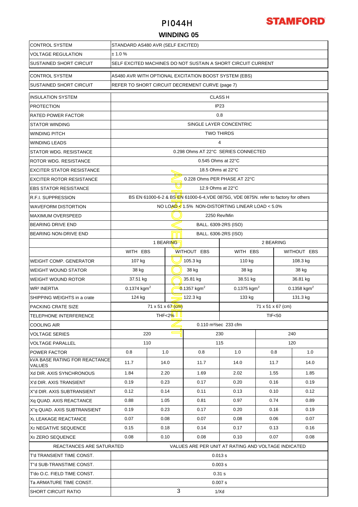

### **WINDING 05**

| <b>CONTROL SYSTEM</b>                          | STANDARD AS480 AVR (SELF EXCITED)                                       |                                        |      |                                                                                      |                         |          |               |             |  |  |
|------------------------------------------------|-------------------------------------------------------------------------|----------------------------------------|------|--------------------------------------------------------------------------------------|-------------------------|----------|---------------|-------------|--|--|
| VOLTAGE REGULATION                             | ± 1.0%                                                                  |                                        |      |                                                                                      |                         |          |               |             |  |  |
| SUSTAINED SHORT CIRCUIT                        | SELF EXCITED MACHINES DO NOT SUSTAIN A SHORT CIRCUIT CURRENT            |                                        |      |                                                                                      |                         |          |               |             |  |  |
| <b>CONTROL SYSTEM</b>                          | AS480 AVR WITH OPTIONAL EXCITATION BOOST SYSTEM (EBS)                   |                                        |      |                                                                                      |                         |          |               |             |  |  |
| SUSTAINED SHORT CIRCUIT                        |                                                                         |                                        |      | REFER TO SHORT CIRCUIT DECREMENT CURVE (page 7)                                      |                         |          |               |             |  |  |
| <b>INSULATION SYSTEM</b>                       |                                                                         | <b>CLASS H</b>                         |      |                                                                                      |                         |          |               |             |  |  |
| <b>PROTECTION</b>                              |                                                                         |                                        |      |                                                                                      | IP <sub>23</sub>        |          |               |             |  |  |
| RATED POWER FACTOR                             |                                                                         |                                        |      | 0.8                                                                                  |                         |          |               |             |  |  |
| <b>STATOR WINDING</b>                          |                                                                         |                                        |      |                                                                                      | SINGLE LAYER CONCENTRIC |          |               |             |  |  |
| WINDING PITCH                                  |                                                                         | <b>TWO THIRDS</b>                      |      |                                                                                      |                         |          |               |             |  |  |
| <b>WINDING LEADS</b>                           |                                                                         |                                        |      |                                                                                      | 4                       |          |               |             |  |  |
| STATOR WDG. RESISTANCE                         |                                                                         |                                        |      | 0.298 Ohms AT 22°C SERIES CONNECTED                                                  |                         |          |               |             |  |  |
| ROTOR WDG. RESISTANCE                          |                                                                         |                                        |      | $0.545$ Ohms at 22 $\degree$ C                                                       |                         |          |               |             |  |  |
| <b>EXCITER STATOR RESISTANCE</b>               |                                                                         |                                        |      | 18.5 Ohms at 22°C                                                                    |                         |          |               |             |  |  |
| <b>EXCITER ROTOR RESISTANCE</b>                |                                                                         |                                        |      | 0.228 Ohms PER PHASE AT 22°C                                                         |                         |          |               |             |  |  |
| <b>EBS STATOR RESISTANCE</b>                   |                                                                         |                                        |      | 12.9 Ohms at 22°C                                                                    |                         |          |               |             |  |  |
| <b>R.F.I. SUPPRESSION</b>                      |                                                                         |                                        |      | BS EN 61000-6-2 & BS EN 61000-6-4, VDE 0875G, VDE 0875N. refer to factory for others |                         |          |               |             |  |  |
| <b>WAVEFORM DISTORTION</b>                     |                                                                         |                                        |      | NO LOAD $\leq 1.5\%$ NON-DISTORTING LINEAR LOAD $< 5.0\%$                            |                         |          |               |             |  |  |
| <b>MAXIMUM OVERSPEED</b>                       |                                                                         |                                        |      | 2250 Rev/Min                                                                         |                         |          |               |             |  |  |
| <b>BEARING DRIVE END</b>                       |                                                                         |                                        |      | BALL. 6309-2RS (ISO)                                                                 |                         |          |               |             |  |  |
| BEARING NON-DRIVE END                          |                                                                         | BALL. 6306-2RS (ISO)                   |      |                                                                                      |                         |          |               |             |  |  |
|                                                |                                                                         | 1 BEARING<br>2 BEARING                 |      |                                                                                      |                         |          |               |             |  |  |
|                                                |                                                                         | WITH EBS<br>WITHOUT EBS                |      |                                                                                      |                         | WITH EBS |               | WITHOUT EBS |  |  |
| <b>WEIGHT COMP. GENERATOR</b>                  | 107 kg                                                                  | 105.3 kg                               |      |                                                                                      |                         |          |               | 108.3 kg    |  |  |
| <b>WEIGHT WOUND STATOR</b>                     | 38 kg                                                                   |                                        |      | 38 kg                                                                                | 38 kg                   |          | 38 kg         |             |  |  |
| <b>WEIGHT WOUND ROTOR</b>                      | 37.51 kg<br>35.81 kg<br>38.51 kg                                        |                                        |      |                                                                                      |                         |          | 36.81 kg      |             |  |  |
| <b>WR<sup>2</sup> INERTIA</b>                  | $0.1374$ kgm <sup>2</sup><br>$0.1357$ kgm <sup>2</sup><br>0.1375 $kgm2$ |                                        |      |                                                                                      |                         |          | 0.1358 $kgm2$ |             |  |  |
| SHIPPING WEIGHTS in a crate                    | 122.3 kg<br>133 kg<br>131.3 kg<br>124 kg                                |                                        |      |                                                                                      |                         |          |               |             |  |  |
| PACKING CRATE SIZE                             |                                                                         | 71 x 51 x 67 (cm)<br>71 x 51 x 67 (cm) |      |                                                                                      |                         |          |               |             |  |  |
| <b>TELEPHONE INTERFERENCE</b>                  |                                                                         | THF<2% II<br><b>TIF&lt;50</b>          |      |                                                                                      |                         |          |               |             |  |  |
| <b>COOLING AIR</b>                             |                                                                         |                                        |      | 0.110 m <sup>3</sup> /sec 233 cfm                                                    |                         |          |               |             |  |  |
| <b>VOLTAGE SERIES</b>                          |                                                                         | 220                                    |      |                                                                                      | 230                     |          |               | 240         |  |  |
| <b>VOLTAGE PARALLEL</b>                        |                                                                         | 110                                    |      | 115                                                                                  |                         | 120      |               |             |  |  |
| <b>POWER FACTOR</b>                            | 0.8                                                                     |                                        | 1.0  | 0.8                                                                                  | 1.0                     |          | 0.8           | 1.0         |  |  |
| <b>KVA BASE RATING FOR REACTANCE</b><br>VALUES | 11.7                                                                    |                                        | 14.0 | 11.7                                                                                 | 14.0                    |          | 11.7          | 14.0        |  |  |
| Xd DIR. AXIS SYNCHRONOUS                       | 1.84                                                                    |                                        | 2.20 | 1.69                                                                                 | 2.02                    |          | 1.55          | 1.85        |  |  |
| X'd DIR. AXIS TRANSIENT                        | 0.19                                                                    |                                        | 0.23 | 0.17                                                                                 | 0.20                    |          | 0.16          | 0.19        |  |  |
| X"d DIR. AXIS SUBTRANSIENT                     | 0.12                                                                    |                                        | 0.14 | 0.11                                                                                 | 0.13                    |          | 0.10          | 0.12        |  |  |
| Xq QUAD. AXIS REACTANCE                        | 0.88<br>1.05                                                            |                                        | 0.81 | 0.97                                                                                 |                         | 0.74     | 0.89          |             |  |  |
| X"q QUAD. AXIS SUBTRANSIENT                    | 0.19<br>0.23                                                            |                                        | 0.17 | 0.20                                                                                 |                         | 0.16     | 0.19          |             |  |  |
| XL LEAKAGE REACTANCE                           | 0.07                                                                    |                                        | 0.08 | 0.07                                                                                 | 0.08                    |          | 0.06          | 0.07        |  |  |
| X <sub>2</sub> NEGATIVE SEQUENCE               | 0.15                                                                    |                                        | 0.18 | 0.14                                                                                 | 0.17                    |          | 0.13          | 0.16        |  |  |
| X <sub>0</sub> ZERO SEQUENCE                   | 0.08<br>0.10<br>0.08<br>0.10<br>0.07<br>0.08                            |                                        |      |                                                                                      |                         |          |               |             |  |  |
| REACTANCES ARE SATURATED                       |                                                                         |                                        |      | VALUES ARE PER UNIT AT RATING AND VOLTAGE INDICATED                                  |                         |          |               |             |  |  |
| T'd TRANSIENT TIME CONST.                      | 0.013 s                                                                 |                                        |      |                                                                                      |                         |          |               |             |  |  |
| T"d SUB-TRANSTIME CONST.                       | 0.003 s                                                                 |                                        |      |                                                                                      |                         |          |               |             |  |  |
| T'do O.C. FIELD TIME CONST.                    | 0.31 s                                                                  |                                        |      |                                                                                      |                         |          |               |             |  |  |
| Ta ARMATURE TIME CONST.                        |                                                                         |                                        |      |                                                                                      | 0.007 s                 |          |               |             |  |  |
| <b>SHORT CIRCUIT RATIO</b>                     | 3<br>1/Xd                                                               |                                        |      |                                                                                      |                         |          |               |             |  |  |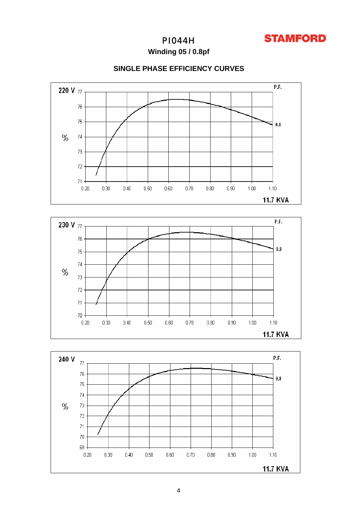

Winding 05 / 0.8pf

### **SINGLE PHASE EFFICIENCY CURVES**





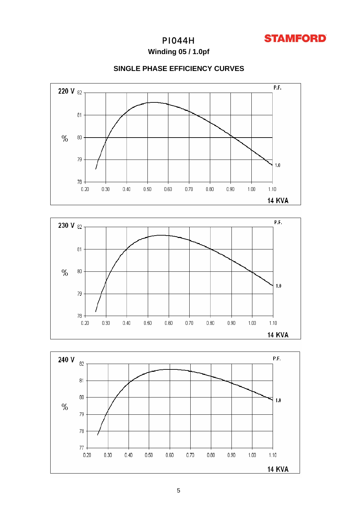

Winding 05 / 1.0pf







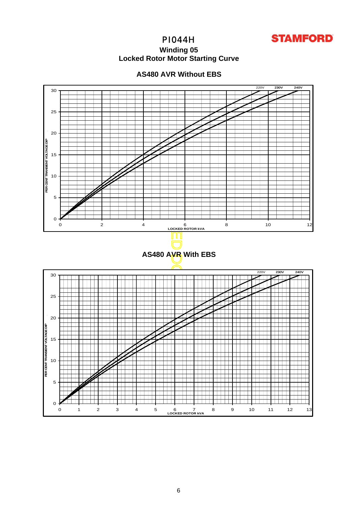

### **Winding 05 Locked Rotor Motor Startin g Curve**



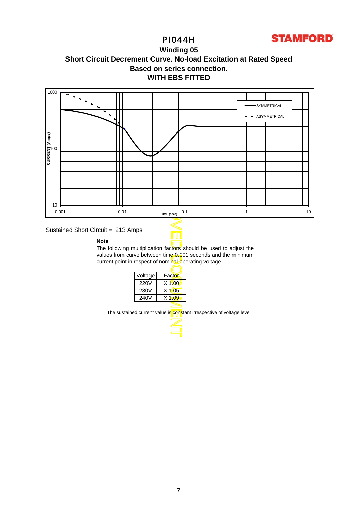





### Sustained Short Circuit = 213 Amps

#### **Note**

The following multiplication factors should be used to adjust the values from curve between time 0.001 seconds and the minimum current point in respect of nominal operating voltage :

Τ

| Voltage | Factor   |
|---------|----------|
| 220V    | $X$ 1\00 |
| 230V    | $X$ 1.05 |
| 240V    | $X$ 1.09 |
|         |          |

The sustained current value is constant irrespective of voltage level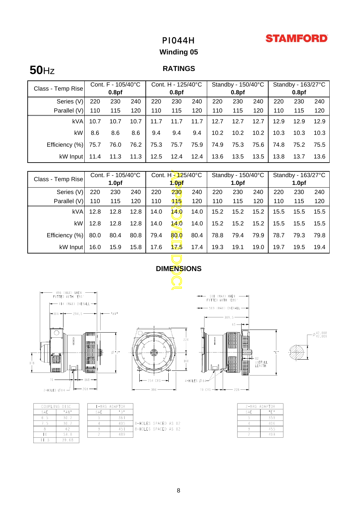# **STAMFORD**

# PI044H

# **Winding 05**

# **50**Hz

### **RATINGS**

|                   | Cont. F - 105/40°C |                   | Cont. H - 125/40°C |      |                   | Standby - 150/40°C |      |                   | Standby - 163/27°C |      |                   |      |
|-------------------|--------------------|-------------------|--------------------|------|-------------------|--------------------|------|-------------------|--------------------|------|-------------------|------|
| Class - Temp Rise |                    | 0.8 <sub>pf</sub> |                    |      | 0.8 <sub>pf</sub> |                    |      | 0.8 <sub>pf</sub> |                    |      | 0.8 <sub>pf</sub> |      |
| Series (V)        | 220                | 230               | 240                | 220  | 230               | 240                | 220  | 230               | 240                | 220  | 230               | 240  |
| Parallel (V)      | 110                | 115               | 120                | 110  | 115               | 120                | 110  | 115               | 120                | 110  | 115               | 120  |
| kVA               | 10.7               | 10.7              | 10.7               | 11.7 | 11.7              | 11.7               | 12.7 | 12.7              | 12.7               | 12.9 | 12.9              | 12.9 |
| kW                | 8.6                | 8.6               | 8.6                | 9.4  | 9.4               | 9.4                | 10.2 | 10.2              | 10.2               | 10.3 | 10.3              | 10.3 |
| Efficiency (%)    | 75.7               | 76.0              | 76.2               | 75.3 | 75.7              | 75.9               | 74.9 | 75.3              | 75.6               | 74.8 | 75.2              | 75.5 |
| kW Input          | 11.4               | 11.3              | 11.3               | 12.5 | 12.4              | 12.4               | 13.6 | 13.5              | 13.5               | 13.8 | 13.7              | 13.6 |

| Cont. F - 105/40°C<br>Class - Temp Rise  |          |                   | Cont. H - 125/40°C |                   |                   | Standby - 150/40°C |                                        |           | Standby - 163/27°C |      |      |                               |
|------------------------------------------|----------|-------------------|--------------------|-------------------|-------------------|--------------------|----------------------------------------|-----------|--------------------|------|------|-------------------------------|
|                                          |          | 1.0 <sub>pf</sub> |                    | 1.0 <sub>pf</sub> |                   | 1.0 <sub>pf</sub>  |                                        |           | 1.0 <sub>pf</sub>  |      |      |                               |
| Series (V)                               | 220      | 230               | 240                | 220               | 230               | 240                | 220                                    | 230       | 240                | 220  | 230  | 240                           |
| Parallel (V)                             | 110      | 115               | 120                | 110               | 115               | 120                | 110                                    | 115       | 120                | 110  | 115  | 120                           |
| <b>kVA</b>                               | 12.8     | 12.8              | 12.8               | 14.0              | 140               | 14.0               | 15.2                                   | 15.2      | 15.2               | 15.5 | 15.5 | 15.5                          |
| kW                                       | 12.8     | 12.8              | 12.8               | 14.0              | 140               | 14.0               | 15.2                                   | 15.2      | 15.2               | 15.5 | 15.5 | 15.5                          |
| Efficiency (%)                           | 80.0     | 80.4              | 80.8               | 79.4              | 80.0              | 80.4               | 78.8                                   | 79.4      | 79.9               | 78.7 | 79.3 | 79.8                          |
| kW Input                                 | 16.0     | 15.9              | 15.8               | 17.6              | 125               | 17.4               | 19.3                                   | 19.1      | 19.0               | 19.7 | 19.5 | 19.4                          |
|                                          |          |                   |                    |                   |                   |                    |                                        |           |                    |      |      |                               |
|                                          |          |                   |                    |                   | <b>DIMENSIONS</b> |                    |                                        |           |                    |      |      |                               |
|                                          |          |                   |                    |                   |                   |                    |                                        |           |                    |      |      |                               |
| 496 (MAX) WHEN                           |          |                   |                    |                   |                   |                    |                                        |           |                    |      |      |                               |
| FITTED WITH 'EBS'<br>414 (MAX) OVERALL - |          |                   |                    |                   |                   |                    | 59 (MAX) WHEN<br>FITTED WITH 'EBS'     |           |                    |      |      |                               |
|                                          |          |                   |                    |                   |                   |                    | $-509$ (MAX) OVERALL $\longrightarrow$ |           |                    |      |      |                               |
|                                          |          |                   |                    |                   |                   |                    |                                        | 389,5     |                    |      |      |                               |
|                                          |          |                   |                    |                   |                   |                    |                                        | $65 -$    |                    |      |      |                               |
|                                          | 11888881 |                   |                    |                   |                   | $\mathbb{I}$       |                                        | ∩188888∏H |                    |      |      | $\Gamma^{\emptyset_{42,018}}$ |



 $D$  SC

 $^0$  A N  $^0$ 

 $30.2$ 

 $\frac{30.2}{62}$ 

39.68

COUPLING

SAE

 $6\,.5$ 

 $7.5$ 

 $\begin{array}{c} 8 \\ \hline 10 \end{array}$ 

 $\Box$ .

|            | 220     |
|------------|---------|
|            |         |
|            | 60      |
| $-254$ CRS | 4-HOLES |
| 386        |         |



 $-\emptyset$ <sup>42,018</sup>



|      | <b>I-BRG ADAPTOR</b> |                      |  |  |
|------|----------------------|----------------------|--|--|
| SAF. | $H \cap H$           |                      |  |  |
| -5   | 361                  |                      |  |  |
|      | 405                  | 8-HOLES SPACED AS 12 |  |  |
|      | 451                  | 8-HOLES SPACED AS 12 |  |  |
|      | 489                  |                      |  |  |
|      |                      |                      |  |  |

|     | 2-BRG ADAPTOR |
|-----|---------------|
| SAF | ոբո           |
|     | 359           |
|     | 406           |
|     | 455           |
|     | 493           |